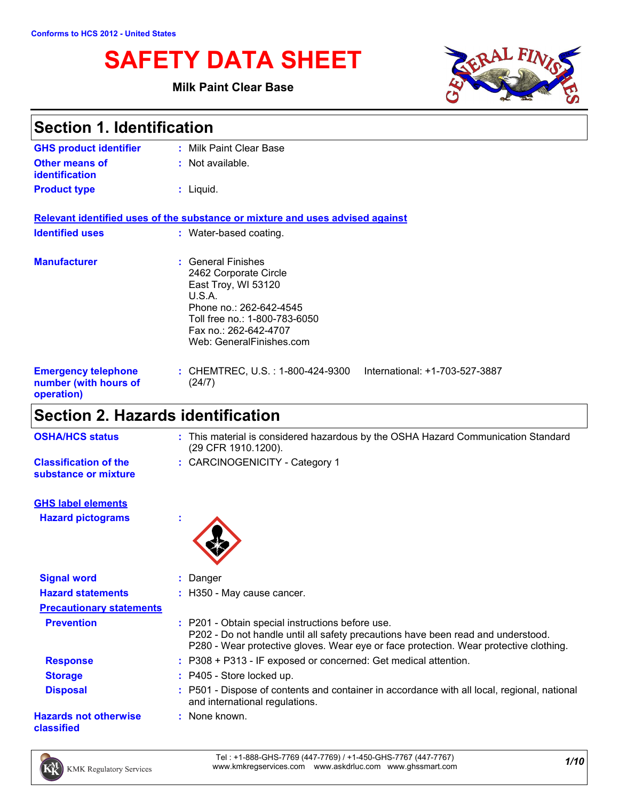# **SAFETY DATA SHEET**

# **Milk Paint Clear Base**



| <b>Section 1. Identification</b>                                  |                                                                                                                                                                                               |  |
|-------------------------------------------------------------------|-----------------------------------------------------------------------------------------------------------------------------------------------------------------------------------------------|--|
| <b>GHS product identifier</b>                                     | : Milk Paint Clear Base                                                                                                                                                                       |  |
| <b>Other means of</b><br><b>identification</b>                    | : Not available.                                                                                                                                                                              |  |
| <b>Product type</b>                                               | $:$ Liquid.                                                                                                                                                                                   |  |
|                                                                   | Relevant identified uses of the substance or mixture and uses advised against                                                                                                                 |  |
| <b>Identified uses</b>                                            | : Water-based coating.                                                                                                                                                                        |  |
| <b>Manufacturer</b>                                               | : General Finishes<br>2462 Corporate Circle<br>East Troy, WI 53120<br>U.S.A.<br>Phone no.: 262-642-4545<br>Toll free no.: 1-800-783-6050<br>Fax no.: 262-642-4707<br>Web: GeneralFinishes.com |  |
| <b>Emergency telephone</b><br>number (with hours of<br>operation) | : CHEMTREC, U.S. : 1-800-424-9300<br>International: +1-703-527-3887<br>(24/7)                                                                                                                 |  |

# **Section 2. Hazards identification**

| <b>OSHA/HCS status</b>                                | : This material is considered hazardous by the OSHA Hazard Communication Standard<br>(29 CFR 1910.1200). |
|-------------------------------------------------------|----------------------------------------------------------------------------------------------------------|
| <b>Classification of the</b><br>substance or mixture  | : CARCINOGENICITY - Category 1                                                                           |
| <b>GHS label elements</b><br><b>Hazard pictograms</b> |                                                                                                          |
| <b>Signal word</b>                                    | : Danger                                                                                                 |
| <b>Hazard statements</b>                              | : H350 - May cause cancer.                                                                               |

| <b>Precautionary statements</b>            |                                                                                                                                                                                                                               |
|--------------------------------------------|-------------------------------------------------------------------------------------------------------------------------------------------------------------------------------------------------------------------------------|
| <b>Prevention</b>                          | : P201 - Obtain special instructions before use.<br>P202 - Do not handle until all safety precautions have been read and understood.<br>P280 - Wear protective gloves. Wear eye or face protection. Wear protective clothing. |
| <b>Response</b>                            | : P308 + P313 - IF exposed or concerned: Get medical attention.                                                                                                                                                               |
| <b>Storage</b>                             | : P405 - Store locked up.                                                                                                                                                                                                     |
| <b>Disposal</b>                            | : P501 - Dispose of contents and container in accordance with all local, regional, national<br>and international regulations.                                                                                                 |
| <b>Hazards not otherwise</b><br>classified | : None known.                                                                                                                                                                                                                 |

*1/10* Tel : +1-888-GHS-7769 (447-7769) / +1-450-GHS-7767 (447-7767) www.kmkregservices.com www.askdrluc.com www.ghssmart.com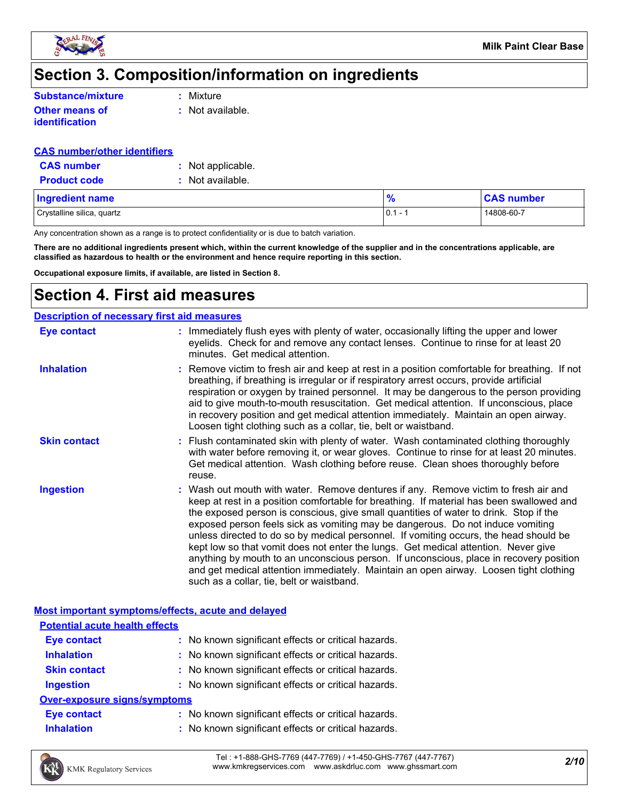

# **Section 3. Composition/information on ingredients**

| <b>Substance/mixture</b> |             |
|--------------------------|-------------|
|                          | $:$ Mixture |

**Other means of identification**

**:** Not available.

### **CAS number/other identifiers**

| <b>CAS number</b>   | : Not applicable. |
|---------------------|-------------------|
| <b>Product code</b> | : Not available.  |

| Ingredient name            | $\mathcal{A}$                                | <b>CAS number</b> |
|----------------------------|----------------------------------------------|-------------------|
| Crystalline silica, quartz | $\overline{0}$ .<br>$\overline{\phantom{0}}$ | 14808-60-7        |

Any concentration shown as a range is to protect confidentiality or is due to batch variation.

**There are no additional ingredients present which, within the current knowledge of the supplier and in the concentrations applicable, are classified as hazardous to health or the environment and hence require reporting in this section.**

**Occupational exposure limits, if available, are listed in Section 8.**

# **Section 4. First aid measures**

|                     | <b>Description of necessary first aid measures</b>                                                                                                                                                                                                                                                                                                                                                                                                                                                                                                                                                                                                                                                                                                                        |
|---------------------|---------------------------------------------------------------------------------------------------------------------------------------------------------------------------------------------------------------------------------------------------------------------------------------------------------------------------------------------------------------------------------------------------------------------------------------------------------------------------------------------------------------------------------------------------------------------------------------------------------------------------------------------------------------------------------------------------------------------------------------------------------------------------|
| Eye contact         | : Immediately flush eyes with plenty of water, occasionally lifting the upper and lower<br>eyelids. Check for and remove any contact lenses. Continue to rinse for at least 20<br>minutes. Get medical attention.                                                                                                                                                                                                                                                                                                                                                                                                                                                                                                                                                         |
| <b>Inhalation</b>   | : Remove victim to fresh air and keep at rest in a position comfortable for breathing. If not<br>breathing, if breathing is irregular or if respiratory arrest occurs, provide artificial<br>respiration or oxygen by trained personnel. It may be dangerous to the person providing<br>aid to give mouth-to-mouth resuscitation. Get medical attention. If unconscious, place<br>in recovery position and get medical attention immediately. Maintain an open airway.<br>Loosen tight clothing such as a collar, tie, belt or waistband.                                                                                                                                                                                                                                 |
| <b>Skin contact</b> | : Flush contaminated skin with plenty of water. Wash contaminated clothing thoroughly<br>with water before removing it, or wear gloves. Continue to rinse for at least 20 minutes.<br>Get medical attention. Wash clothing before reuse. Clean shoes thoroughly before<br>reuse.                                                                                                                                                                                                                                                                                                                                                                                                                                                                                          |
| <b>Ingestion</b>    | : Wash out mouth with water. Remove dentures if any. Remove victim to fresh air and<br>keep at rest in a position comfortable for breathing. If material has been swallowed and<br>the exposed person is conscious, give small quantities of water to drink. Stop if the<br>exposed person feels sick as vomiting may be dangerous. Do not induce vomiting<br>unless directed to do so by medical personnel. If vomiting occurs, the head should be<br>kept low so that vomit does not enter the lungs. Get medical attention. Never give<br>anything by mouth to an unconscious person. If unconscious, place in recovery position<br>and get medical attention immediately. Maintain an open airway. Loosen tight clothing<br>such as a collar, tie, belt or waistband. |

# **Most important symptoms/effects, acute and delayed**

| <b>Potential acute health effects</b> |                                                     |
|---------------------------------------|-----------------------------------------------------|
| <b>Eye contact</b>                    | : No known significant effects or critical hazards. |
| <b>Inhalation</b>                     | : No known significant effects or critical hazards. |
| <b>Skin contact</b>                   | : No known significant effects or critical hazards. |
| <b>Ingestion</b>                      | : No known significant effects or critical hazards. |
| <b>Over-exposure signs/symptoms</b>   |                                                     |
| <b>Eye contact</b>                    | : No known significant effects or critical hazards. |
| <b>Inhalation</b>                     | : No known significant effects or critical hazards. |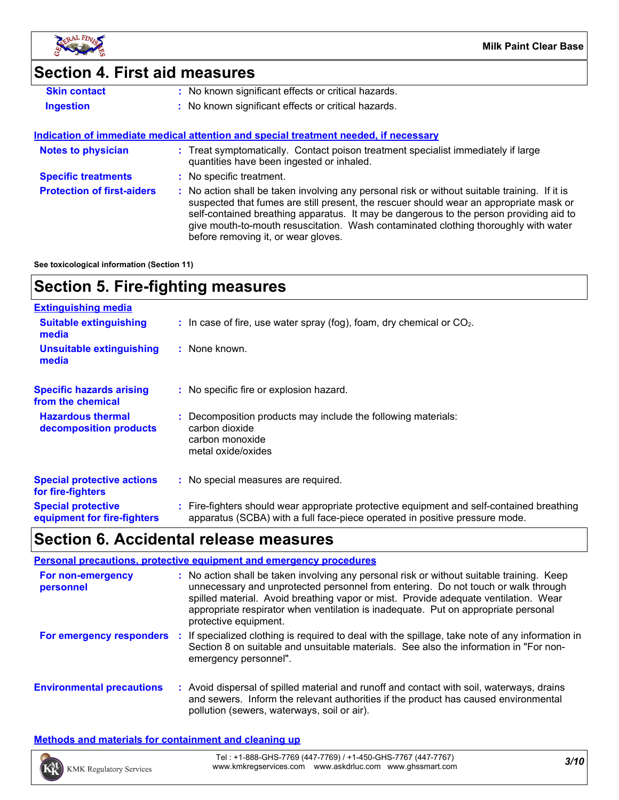

# **Section 4. First aid measures**

| No known significant effects or critical hazards.<br><b>Skin contact</b> |
|--------------------------------------------------------------------------|
|--------------------------------------------------------------------------|

**Ingestion 1988 1989 <b>1999 1999 · 1999 1999 1999 1999 1999 1999 1999 1999 1999 1999 1999 1999 1999 1999 1999 1999 1999 1999 1999 1999 1999 1999 1999 1999 1999 1999**

### **Indication of immediate medical attention and special treatment needed, if necessary**

| <b>Notes to physician</b>         | : Treat symptomatically. Contact poison treatment specialist immediately if large<br>quantities have been ingested or inhaled.                                                                                                                                                                                                                                                                                |
|-----------------------------------|---------------------------------------------------------------------------------------------------------------------------------------------------------------------------------------------------------------------------------------------------------------------------------------------------------------------------------------------------------------------------------------------------------------|
| <b>Specific treatments</b>        | : No specific treatment.                                                                                                                                                                                                                                                                                                                                                                                      |
| <b>Protection of first-aiders</b> | No action shall be taken involving any personal risk or without suitable training. If it is<br>suspected that fumes are still present, the rescuer should wear an appropriate mask or<br>self-contained breathing apparatus. It may be dangerous to the person providing aid to<br>give mouth-to-mouth resuscitation. Wash contaminated clothing thoroughly with water<br>before removing it, or wear gloves. |

**See toxicological information (Section 11)**

# **Section 5. Fire-fighting measures**

| <b>Extinguishing media</b>                               |                                                                                                                                                                          |
|----------------------------------------------------------|--------------------------------------------------------------------------------------------------------------------------------------------------------------------------|
| <b>Suitable extinguishing</b><br>media                   | $\therefore$ In case of fire, use water spray (fog), foam, dry chemical or CO <sub>2</sub> .                                                                             |
| <b>Unsuitable extinguishing</b><br>media                 | : None known.                                                                                                                                                            |
| <b>Specific hazards arising</b><br>from the chemical     | : No specific fire or explosion hazard.                                                                                                                                  |
| <b>Hazardous thermal</b><br>decomposition products       | : Decomposition products may include the following materials:<br>carbon dioxide<br>carbon monoxide<br>metal oxide/oxides                                                 |
| <b>Special protective actions</b><br>for fire-fighters   | : No special measures are required.                                                                                                                                      |
| <b>Special protective</b><br>equipment for fire-fighters | : Fire-fighters should wear appropriate protective equipment and self-contained breathing<br>apparatus (SCBA) with a full face-piece operated in positive pressure mode. |

# **Section 6. Accidental release measures**

|                                  | <b>Personal precautions, protective equipment and emergency procedures</b>                                                                                                                                                                                                                                                                                                           |
|----------------------------------|--------------------------------------------------------------------------------------------------------------------------------------------------------------------------------------------------------------------------------------------------------------------------------------------------------------------------------------------------------------------------------------|
| For non-emergency<br>personnel   | : No action shall be taken involving any personal risk or without suitable training. Keep<br>unnecessary and unprotected personnel from entering. Do not touch or walk through<br>spilled material. Avoid breathing vapor or mist. Provide adequate ventilation. Wear<br>appropriate respirator when ventilation is inadequate. Put on appropriate personal<br>protective equipment. |
| For emergency responders         | If specialized clothing is required to deal with the spillage, take note of any information in<br>-21<br>Section 8 on suitable and unsuitable materials. See also the information in "For non-<br>emergency personnel".                                                                                                                                                              |
| <b>Environmental precautions</b> | : Avoid dispersal of spilled material and runoff and contact with soil, waterways, drains<br>and sewers. Inform the relevant authorities if the product has caused environmental<br>pollution (sewers, waterways, soil or air).                                                                                                                                                      |

# **Methods and materials for containment and cleaning up**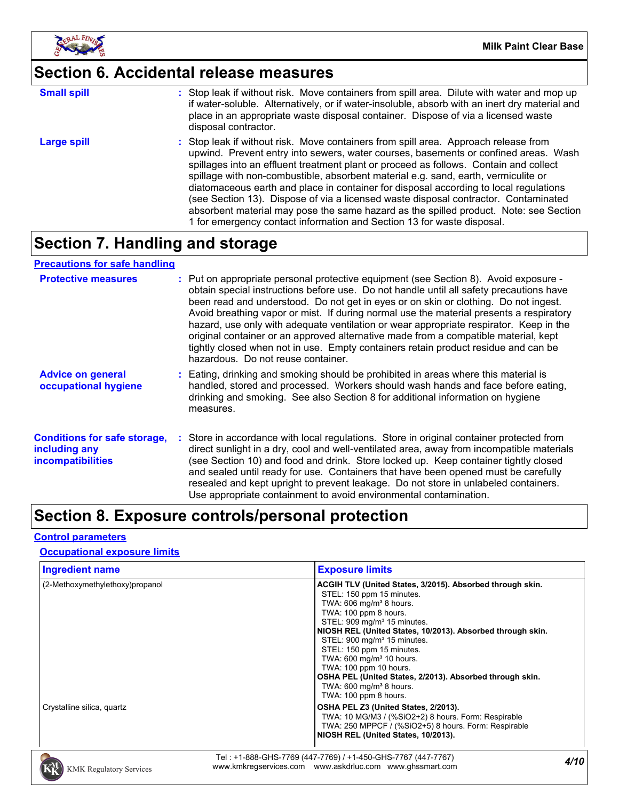

# **Section 6. Accidental release measures**

| <b>Small spill</b> | : Stop leak if without risk. Move containers from spill area. Dilute with water and mop up<br>if water-soluble. Alternatively, or if water-insoluble, absorb with an inert dry material and<br>place in an appropriate waste disposal container. Dispose of via a licensed waste<br>disposal contractor.                                                                                                                                                                                                                                                                                                                                                                                                     |
|--------------------|--------------------------------------------------------------------------------------------------------------------------------------------------------------------------------------------------------------------------------------------------------------------------------------------------------------------------------------------------------------------------------------------------------------------------------------------------------------------------------------------------------------------------------------------------------------------------------------------------------------------------------------------------------------------------------------------------------------|
| Large spill        | : Stop leak if without risk. Move containers from spill area. Approach release from<br>upwind. Prevent entry into sewers, water courses, basements or confined areas. Wash<br>spillages into an effluent treatment plant or proceed as follows. Contain and collect<br>spillage with non-combustible, absorbent material e.g. sand, earth, vermiculite or<br>diatomaceous earth and place in container for disposal according to local regulations<br>(see Section 13). Dispose of via a licensed waste disposal contractor. Contaminated<br>absorbent material may pose the same hazard as the spilled product. Note: see Section<br>1 for emergency contact information and Section 13 for waste disposal. |

# **Section 7. Handling and storage**

### **Precautions for safe handling**

| <b>Protective measures</b>                                                       | : Put on appropriate personal protective equipment (see Section 8). Avoid exposure -<br>obtain special instructions before use. Do not handle until all safety precautions have<br>been read and understood. Do not get in eyes or on skin or clothing. Do not ingest.<br>Avoid breathing vapor or mist. If during normal use the material presents a respiratory<br>hazard, use only with adequate ventilation or wear appropriate respirator. Keep in the<br>original container or an approved alternative made from a compatible material, kept<br>tightly closed when not in use. Empty containers retain product residue and can be<br>hazardous. Do not reuse container. |
|----------------------------------------------------------------------------------|--------------------------------------------------------------------------------------------------------------------------------------------------------------------------------------------------------------------------------------------------------------------------------------------------------------------------------------------------------------------------------------------------------------------------------------------------------------------------------------------------------------------------------------------------------------------------------------------------------------------------------------------------------------------------------|
| <b>Advice on general</b><br>occupational hygiene                                 | : Eating, drinking and smoking should be prohibited in areas where this material is<br>handled, stored and processed. Workers should wash hands and face before eating,<br>drinking and smoking. See also Section 8 for additional information on hygiene<br>measures.                                                                                                                                                                                                                                                                                                                                                                                                         |
| <b>Conditions for safe storage,</b><br>including any<br><i>incompatibilities</i> | : Store in accordance with local regulations. Store in original container protected from<br>direct sunlight in a dry, cool and well-ventilated area, away from incompatible materials<br>(see Section 10) and food and drink. Store locked up. Keep container tightly closed<br>and sealed until ready for use. Containers that have been opened must be carefully<br>resealed and kept upright to prevent leakage. Do not store in unlabeled containers.<br>Use appropriate containment to avoid environmental contamination.                                                                                                                                                 |

# **Section 8. Exposure controls/personal protection**

### **Control parameters**

### **Occupational exposure limits**

| <b>Ingredient name</b>          | <b>Exposure limits</b>                                                                                                                                                                                                                                                                                                                                                                                                                                                                                                               |
|---------------------------------|--------------------------------------------------------------------------------------------------------------------------------------------------------------------------------------------------------------------------------------------------------------------------------------------------------------------------------------------------------------------------------------------------------------------------------------------------------------------------------------------------------------------------------------|
| (2-Methoxymethylethoxy)propanol | ACGIH TLV (United States, 3/2015). Absorbed through skin.<br>STEL: 150 ppm 15 minutes.<br>TWA: 606 mg/m <sup>3</sup> 8 hours.<br>TWA: 100 ppm 8 hours.<br>STEL: 909 mg/m <sup>3</sup> 15 minutes.<br>NIOSH REL (United States, 10/2013). Absorbed through skin.<br>STEL: 900 mg/m <sup>3</sup> 15 minutes.<br>STEL: 150 ppm 15 minutes.<br>TWA: 600 mg/m <sup>3</sup> 10 hours.<br>TWA: 100 ppm 10 hours.<br>OSHA PEL (United States, 2/2013). Absorbed through skin.<br>TWA: $600 \text{ mg/m}^3$ 8 hours.<br>TWA: 100 ppm 8 hours. |
| Crystalline silica, quartz      | OSHA PEL Z3 (United States, 2/2013).<br>TWA: 10 MG/M3 / (%SiO2+2) 8 hours. Form: Respirable<br>TWA: 250 MPPCF / (%SiO2+5) 8 hours. Form: Respirable<br>NIOSH REL (United States, 10/2013).                                                                                                                                                                                                                                                                                                                                           |

*4/10* Tel : +1-888-GHS-7769 (447-7769) / +1-450-GHS-7767 (447-7767) www.kmkregservices.com www.askdrluc.com www.ghssmart.com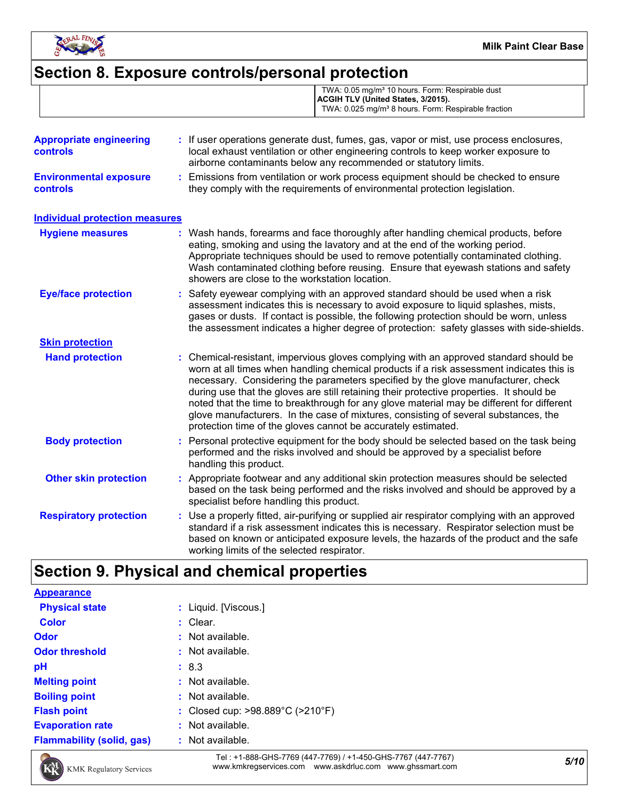

# **Section 8. Exposure controls/personal protection**

|                                                  | TWA: 0.05 mg/m <sup>3</sup> 10 hours. Form: Respirable dust<br>ACGIH TLV (United States, 3/2015).<br>TWA: 0.025 mg/m <sup>3</sup> 8 hours. Form: Respirable fraction                                                                             |
|--------------------------------------------------|--------------------------------------------------------------------------------------------------------------------------------------------------------------------------------------------------------------------------------------------------|
| <b>Appropriate engineering</b><br>controls       | : If user operations generate dust, fumes, gas, vapor or mist, use process enclosures,<br>local exhaust ventilation or other engineering controls to keep worker exposure to<br>airborne contaminants below any recommended or statutory limits. |
| <b>Environmental exposure</b><br><b>controls</b> | Emissions from ventilation or work process equipment should be checked to ensure<br>they comply with the requirements of environmental protection legislation.                                                                                   |
| <b>Individual protection measures</b>            |                                                                                                                                                                                                                                                  |
| Hyniana maseurae                                 | Mach hands forearms and face thoroughly after handling chemical products hefore                                                                                                                                                                  |

| <b>Hygiene measures</b>       | : Wash hands, forearms and face thoroughly after handling chemical products, before<br>eating, smoking and using the lavatory and at the end of the working period.<br>Appropriate techniques should be used to remove potentially contaminated clothing.<br>Wash contaminated clothing before reusing. Ensure that eyewash stations and safety<br>showers are close to the workstation location.                                                                                                                                                                                                                      |
|-------------------------------|------------------------------------------------------------------------------------------------------------------------------------------------------------------------------------------------------------------------------------------------------------------------------------------------------------------------------------------------------------------------------------------------------------------------------------------------------------------------------------------------------------------------------------------------------------------------------------------------------------------------|
| <b>Eye/face protection</b>    | : Safety eyewear complying with an approved standard should be used when a risk<br>assessment indicates this is necessary to avoid exposure to liquid splashes, mists,<br>gases or dusts. If contact is possible, the following protection should be worn, unless<br>the assessment indicates a higher degree of protection: safety glasses with side-shields.                                                                                                                                                                                                                                                         |
| <b>Skin protection</b>        |                                                                                                                                                                                                                                                                                                                                                                                                                                                                                                                                                                                                                        |
| <b>Hand protection</b>        | : Chemical-resistant, impervious gloves complying with an approved standard should be<br>worn at all times when handling chemical products if a risk assessment indicates this is<br>necessary. Considering the parameters specified by the glove manufacturer, check<br>during use that the gloves are still retaining their protective properties. It should be<br>noted that the time to breakthrough for any glove material may be different for different<br>glove manufacturers. In the case of mixtures, consisting of several substances, the<br>protection time of the gloves cannot be accurately estimated. |
| <b>Body protection</b>        | : Personal protective equipment for the body should be selected based on the task being<br>performed and the risks involved and should be approved by a specialist before<br>handling this product.                                                                                                                                                                                                                                                                                                                                                                                                                    |
| <b>Other skin protection</b>  | : Appropriate footwear and any additional skin protection measures should be selected<br>based on the task being performed and the risks involved and should be approved by a<br>specialist before handling this product.                                                                                                                                                                                                                                                                                                                                                                                              |
| <b>Respiratory protection</b> | : Use a properly fitted, air-purifying or supplied air respirator complying with an approved<br>standard if a risk assessment indicates this is necessary. Respirator selection must be<br>based on known or anticipated exposure levels, the hazards of the product and the safe<br>working limits of the selected respirator.                                                                                                                                                                                                                                                                                        |

# **Section 9. Physical and chemical properties**

| <b>Appearance</b>                |                                  |
|----------------------------------|----------------------------------|
| <b>Physical state</b>            | : Liquid. [Viscous.]             |
| <b>Color</b>                     | : Clear.                         |
| <b>Odor</b>                      | $:$ Not available.               |
| <b>Odor threshold</b>            | $\therefore$ Not available.      |
| pH                               | : 8.3                            |
| <b>Melting point</b>             | $:$ Not available.               |
| <b>Boiling point</b>             | : Not available.                 |
| <b>Flash point</b>               | : Closed cup: >98.889°C (>210°F) |
| <b>Evaporation rate</b>          | $:$ Not available.               |
| <b>Flammability (solid, gas)</b> | : Not available.                 |



*5/10* Tel : +1-888-GHS-7769 (447-7769) / +1-450-GHS-7767 (447-7767) www.kmkregservices.com www.askdrluc.com www.ghssmart.com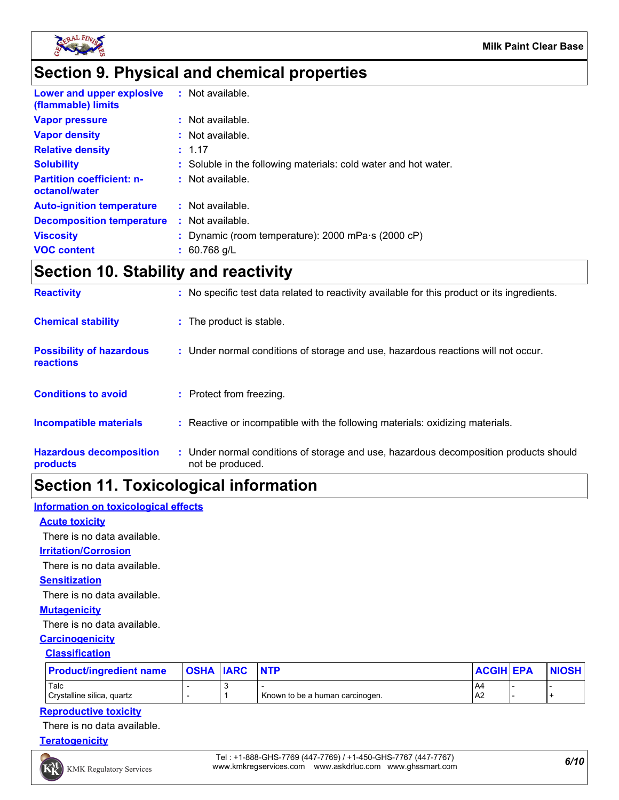

# **Section 9. Physical and chemical properties**

| Lower and upper explosive<br>(flammable) limits   | : Not available.                                                |
|---------------------------------------------------|-----------------------------------------------------------------|
| <b>Vapor pressure</b>                             | $:$ Not available.                                              |
| <b>Vapor density</b>                              | : Not available.                                                |
| <b>Relative density</b>                           | : 1.17                                                          |
| <b>Solubility</b>                                 | : Soluble in the following materials: cold water and hot water. |
| <b>Partition coefficient: n-</b><br>octanol/water | $:$ Not available.                                              |
| <b>Auto-ignition temperature</b>                  | $:$ Not available.                                              |
| <b>Decomposition temperature</b>                  | $:$ Not available.                                              |
| <b>Viscosity</b>                                  | : Dynamic (room temperature): $2000$ mPa $\cdot$ s (2000 cP)    |
| <b>VOC content</b>                                | $: 60.768$ g/L                                                  |

# **Section 10. Stability and reactivity**

| <b>Reactivity</b>                            | : No specific test data related to reactivity available for this product or its ingredients.              |
|----------------------------------------------|-----------------------------------------------------------------------------------------------------------|
| <b>Chemical stability</b>                    | : The product is stable.                                                                                  |
| <b>Possibility of hazardous</b><br>reactions | : Under normal conditions of storage and use, hazardous reactions will not occur.                         |
| <b>Conditions to avoid</b>                   | : Protect from freezing.                                                                                  |
| <b>Incompatible materials</b>                | : Reactive or incompatible with the following materials: oxidizing materials.                             |
| <b>Hazardous decomposition</b><br>products   | : Under normal conditions of storage and use, hazardous decomposition products should<br>not be produced. |

# **Section 11. Toxicological information**

# **Information on toxicological effects**

# **Acute toxicity**

There is no data available.

# **Irritation/Corrosion**

There is no data available.

### **Sensitization**

There is no data available.

# **Mutagenicity**

There is no data available.

# **Carcinogenicity**

### **Classification**

| <b>Product/ingredient name</b> | <b>OSHA IARC</b> | <b>INTP</b>                     | <b>ACGIH EPA</b> | <b>NIOSH</b> |
|--------------------------------|------------------|---------------------------------|------------------|--------------|
| Talc                           |                  |                                 | <b>A4</b>        |              |
| Crystalline silica, quartz     |                  | Known to be a human carcinogen. | AA <sub>2</sub>  |              |

# **Reproductive toxicity**

There is no data available.

# **Teratogenicity**

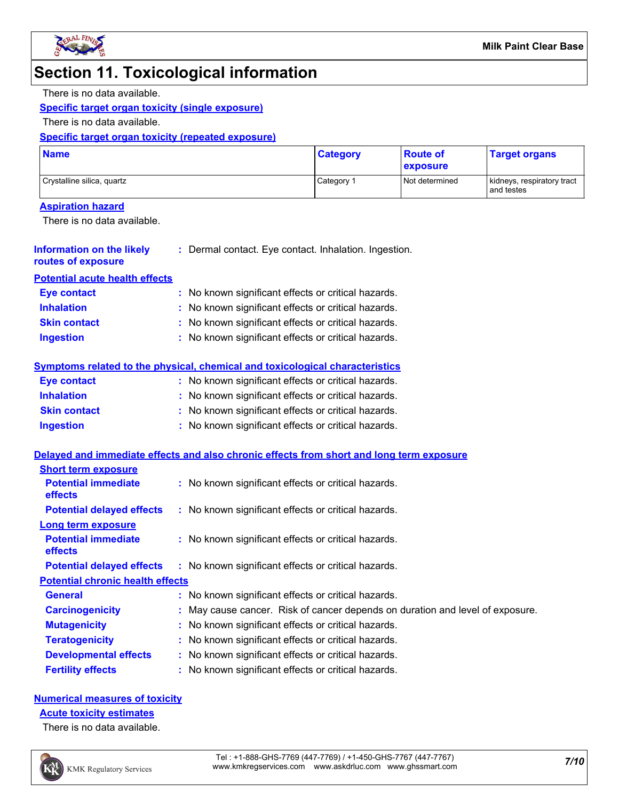

# **Section 11. Toxicological information**

#### There is no data available.

# **Specific target organ toxicity (single exposure)**

There is no data available.

# **Specific target organ toxicity (repeated exposure)**

| <b>Name</b>                | <b>Category</b> | <b>Route of</b><br><b>exposure</b> | <b>Target organs</b>                     |
|----------------------------|-----------------|------------------------------------|------------------------------------------|
| Crystalline silica, quartz | Category 1      | Not determined                     | kidneys, respiratory tract<br>and testes |

# **Aspiration hazard**

There is no data available.

| <b>Information on the likely</b>             | : Dermal contact. Eye contact. Inhalation. Ingestion.                                    |
|----------------------------------------------|------------------------------------------------------------------------------------------|
| routes of exposure                           |                                                                                          |
| <b>Potential acute health effects</b>        |                                                                                          |
| <b>Eye contact</b>                           | : No known significant effects or critical hazards.                                      |
| <b>Inhalation</b>                            | : No known significant effects or critical hazards.                                      |
| <b>Skin contact</b>                          | : No known significant effects or critical hazards.                                      |
| <b>Ingestion</b>                             | : No known significant effects or critical hazards.                                      |
|                                              | Symptoms related to the physical, chemical and toxicological characteristics             |
| <b>Eye contact</b>                           | : No known significant effects or critical hazards.                                      |
| <b>Inhalation</b>                            | : No known significant effects or critical hazards.                                      |
| <b>Skin contact</b>                          | : No known significant effects or critical hazards.                                      |
| <b>Ingestion</b>                             | : No known significant effects or critical hazards.                                      |
|                                              | Delayed and immediate effects and also chronic effects from short and long term exposure |
| <b>Short term exposure</b>                   |                                                                                          |
| <b>Potential immediate</b><br><b>effects</b> | : No known significant effects or critical hazards.                                      |
| <b>Potential delayed effects</b>             | : No known significant effects or critical hazards.                                      |
| <b>Long term exposure</b>                    |                                                                                          |
| <b>Potential immediate</b><br>effects        | : No known significant effects or critical hazards.                                      |
| <b>Potential delayed effects</b>             | : No known significant effects or critical hazards.                                      |

### **Potential chronic health effects**

| <b>General</b>               | : No known significant effects or critical hazards.                           |  |
|------------------------------|-------------------------------------------------------------------------------|--|
| <b>Carcinogenicity</b>       | : May cause cancer. Risk of cancer depends on duration and level of exposure. |  |
| <b>Mutagenicity</b>          | : No known significant effects or critical hazards.                           |  |
| <b>Teratogenicity</b>        | : No known significant effects or critical hazards.                           |  |
| <b>Developmental effects</b> | : No known significant effects or critical hazards.                           |  |
| <b>Fertility effects</b>     | : No known significant effects or critical hazards.                           |  |

# **Numerical measures of toxicity**

### **Acute toxicity estimates**

There is no data available.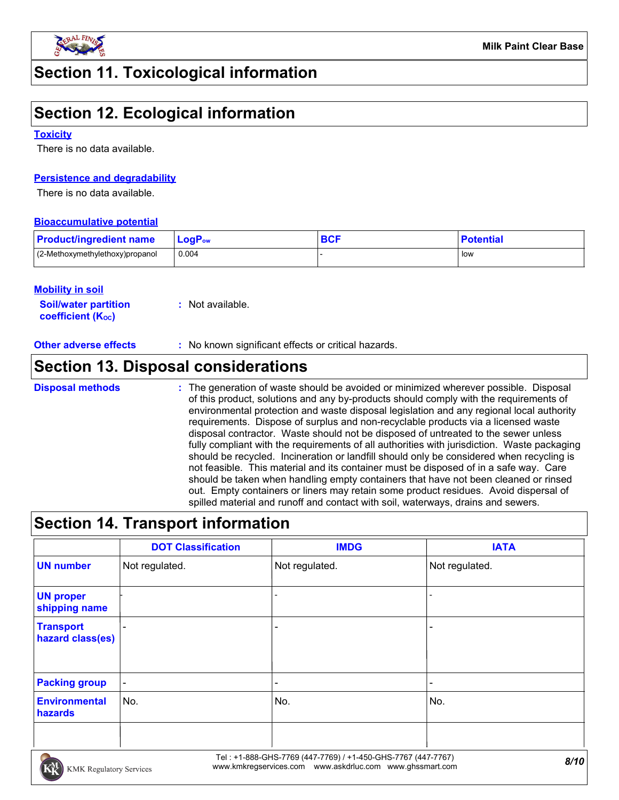

# **Section 11. Toxicological information**

# **Section 12. Ecological information**

### **Toxicity**

There is no data available.

# **Persistence and degradability**

There is no data available.

### **Bioaccumulative potential**

| <b>Product/ingredient name</b>  | $\mathsf{LogP}_\mathsf{ow}$ | DAE<br>ov. | <b>Potential</b> |
|---------------------------------|-----------------------------|------------|------------------|
| (2-Methoxymethylethoxy)propanol | 0.004                       |            | low              |

### **Mobility in soil**

**Soil/water partition coefficient (KOC) :** Not available.

**Other adverse effects** : No known significant effects or critical hazards.

# **Section 13. Disposal considerations**

The generation of waste should be avoided or minimized wherever possible. Disposal of this product, solutions and any by-products should comply with the requirements of environmental protection and waste disposal legislation and any regional local authority requirements. Dispose of surplus and non-recyclable products via a licensed waste disposal contractor. Waste should not be disposed of untreated to the sewer unless fully compliant with the requirements of all authorities with jurisdiction. Waste packaging should be recycled. Incineration or landfill should only be considered when recycling is not feasible. This material and its container must be disposed of in a safe way. Care should be taken when handling empty containers that have not been cleaned or rinsed out. Empty containers or liners may retain some product residues. Avoid dispersal of spilled material and runoff and contact with soil, waterways, drains and sewers. **Disposal methods :**

# **Section 14. Transport information**

|                                      | <b>DOT Classification</b> | <b>IMDG</b>              | <b>IATA</b>              |
|--------------------------------------|---------------------------|--------------------------|--------------------------|
| <b>UN number</b>                     | Not regulated.            | Not regulated.           | Not regulated.           |
| <b>UN proper</b><br>shipping name    |                           |                          |                          |
| <b>Transport</b><br>hazard class(es) |                           | ٠                        |                          |
| <b>Packing group</b>                 | $\overline{\phantom{a}}$  | $\overline{\phantom{a}}$ | $\overline{\phantom{0}}$ |
| <b>Environmental</b><br>hazards      | No.                       | No.                      | No.                      |
|                                      |                           |                          |                          |

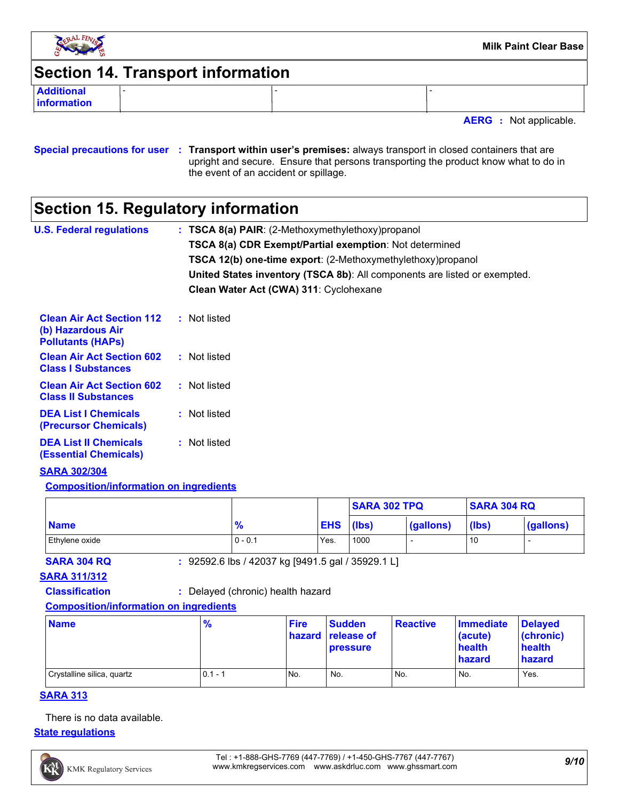

# **Section 14. Transport information**

**Additional** - - **information**

**AERG :** Not applicable.

### **Special precautions for user Transport within user's premises:** always transport in closed containers that are **:** upright and secure. Ensure that persons transporting the product know what to do in the event of an accident or spillage.

# **Section 15. Regulatory information**

| <b>U.S. Federal regulations</b>                                                   | $:$ TSCA 8(a) PAIR: (2-Methoxymethylethoxy) propanol                      |
|-----------------------------------------------------------------------------------|---------------------------------------------------------------------------|
|                                                                                   | TSCA 8(a) CDR Exempt/Partial exemption: Not determined                    |
|                                                                                   | <b>TSCA 12(b) one-time export:</b> (2-Methoxymethylethoxy) propanol       |
|                                                                                   | United States inventory (TSCA 8b): All components are listed or exempted. |
|                                                                                   | Clean Water Act (CWA) 311: Cyclohexane                                    |
| <b>Clean Air Act Section 112</b><br>(b) Hazardous Air<br><b>Pollutants (HAPS)</b> | : Not listed                                                              |
| <b>Clean Air Act Section 602</b><br><b>Class I Substances</b>                     | : Not listed                                                              |
| <b>Clean Air Act Section 602</b><br><b>Class II Substances</b>                    | : Not listed                                                              |
| <b>DEA List   Chemicals</b>                                                       | : Not listed                                                              |

**DEA List I Chemicals (Precursor Chemicals) DEA List II Chemicals :** Not listed

**(Essential Chemicals)**

# **SARA 302/304**

# **Composition/information on ingredients**

|                |           |            | <b>SARA 302 TPQ</b> |           | <b>SARA 304 RQ</b> |           |
|----------------|-----------|------------|---------------------|-----------|--------------------|-----------|
| <b>Name</b>    | 70        | <b>EHS</b> | (lbs)               | (gallons) | (lbs)              | (gallons) |
| Ethylene oxide | $0 - 0.1$ | Yes.       | 1000                |           | 10                 |           |

**SARA 304 RQ :** 92592.6 lbs / 42037 kg [9491.5 gal / 35929.1 L]

# **SARA 311/312**

**Classification :** Delayed (chronic) health hazard

# **Composition/information on ingredients**

| <b>Name</b>                | $\frac{9}{6}$ | <b>Fire</b> | <b>Sudden</b><br><b>hazard release of</b><br><b>pressure</b> | <b>Reactive</b> | Immediate<br>(acute)<br>health<br>hazard | <b>Delaved</b><br>(chronic)<br>health<br>hazard |
|----------------------------|---------------|-------------|--------------------------------------------------------------|-----------------|------------------------------------------|-------------------------------------------------|
| Crystalline silica, quartz | $0.1 -$       | No.         | No.                                                          | No.             | No.                                      | Yes.                                            |

# **SARA 313**

There is no data available.

### **State regulations**